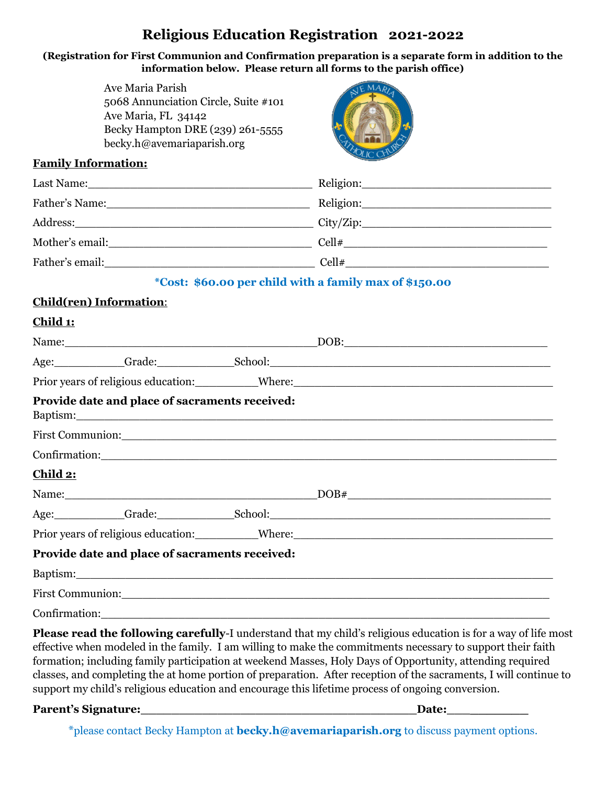# **Religious Education Registration 2021-2022**

### **(Registration for First Communion and Confirmation preparation is a separate form in addition to the information below. Please return all forms to the parish office)**

|                                                                                                  | Ave Maria Parish<br>5068 Annunciation Circle, Suite #101<br>Ave Maria, FL 34142<br>Becky Hampton DRE (239) 261-5555<br>becky.h@avemariaparish.org |  |                                                                                                                                                                                                                                |
|--------------------------------------------------------------------------------------------------|---------------------------------------------------------------------------------------------------------------------------------------------------|--|--------------------------------------------------------------------------------------------------------------------------------------------------------------------------------------------------------------------------------|
|                                                                                                  | <b>Family Information:</b>                                                                                                                        |  |                                                                                                                                                                                                                                |
|                                                                                                  |                                                                                                                                                   |  |                                                                                                                                                                                                                                |
|                                                                                                  |                                                                                                                                                   |  |                                                                                                                                                                                                                                |
|                                                                                                  |                                                                                                                                                   |  |                                                                                                                                                                                                                                |
|                                                                                                  |                                                                                                                                                   |  |                                                                                                                                                                                                                                |
| Father's email: $\qquad \qquad \qquad \qquad \qquad \text{Cell} \# \qquad \qquad \text{Cell} \#$ |                                                                                                                                                   |  |                                                                                                                                                                                                                                |
|                                                                                                  |                                                                                                                                                   |  | *Cost: \$60.00 per child with a family max of \$150.00                                                                                                                                                                         |
|                                                                                                  | <b>Child(ren) Information:</b>                                                                                                                    |  |                                                                                                                                                                                                                                |
| <u>Child 1:</u>                                                                                  |                                                                                                                                                   |  |                                                                                                                                                                                                                                |
|                                                                                                  |                                                                                                                                                   |  |                                                                                                                                                                                                                                |
|                                                                                                  |                                                                                                                                                   |  |                                                                                                                                                                                                                                |
|                                                                                                  |                                                                                                                                                   |  |                                                                                                                                                                                                                                |
|                                                                                                  | Provide date and place of sacraments received:                                                                                                    |  | Baptism: and the contract of the contract of the contract of the contract of the contract of the contract of the contract of the contract of the contract of the contract of the contract of the contract of the contract of t |
|                                                                                                  |                                                                                                                                                   |  |                                                                                                                                                                                                                                |
|                                                                                                  |                                                                                                                                                   |  |                                                                                                                                                                                                                                |
| Child 2:                                                                                         |                                                                                                                                                   |  |                                                                                                                                                                                                                                |
|                                                                                                  |                                                                                                                                                   |  |                                                                                                                                                                                                                                |
|                                                                                                  |                                                                                                                                                   |  |                                                                                                                                                                                                                                |
|                                                                                                  |                                                                                                                                                   |  | Prior years of religious education: Where: Where:                                                                                                                                                                              |
|                                                                                                  | Provide date and place of sacraments received:                                                                                                    |  |                                                                                                                                                                                                                                |
|                                                                                                  |                                                                                                                                                   |  |                                                                                                                                                                                                                                |
|                                                                                                  |                                                                                                                                                   |  | First Communion: Note that the contract of the contract of the contract of the contract of the contract of the contract of the contract of the contract of the contract of the contract of the contract of the contract of the |
|                                                                                                  |                                                                                                                                                   |  | Confirmation: Confirmation:                                                                                                                                                                                                    |
|                                                                                                  |                                                                                                                                                   |  | Please read the following carefully-I understand that my child's religious education is for a way of life most<br>effective when modeled in the family. I em willing to make the commitments necessary to support their faith  |

effective when modeled in the family. I am willing to make the commitments necessary to support their faith formation; including family participation at weekend Masses, Holy Days of Opportunity, attending required classes, and completing the at home portion of preparation. After reception of the sacraments, I will continue to support my child's religious education and encourage this lifetime process of ongoing conversion.

### **Parent's Signature:\_\_\_\_\_\_\_\_\_\_\_\_\_\_\_\_\_\_\_\_\_\_\_\_\_\_\_\_\_\_\_\_\_\_\_\_Date:\_\_\_\_\_\_\_\_\_\_**

\*please contact Becky Hampton at **becky.h@avemariaparish.org** to discuss payment options.